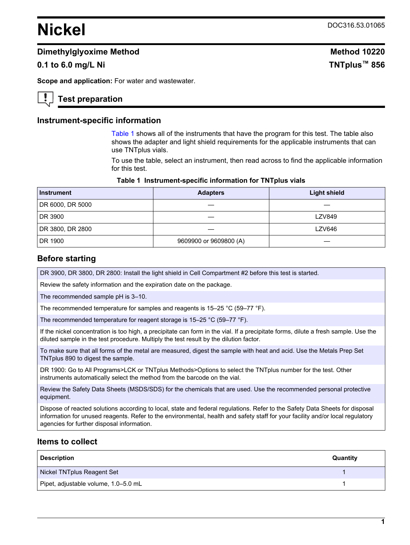# **Nickel** DOC316.53.01065

# **Dimethylglyoxime Method Method Method Method Method Method Method Method**

# **0.1 to 6.0 mg/L Ni TNTplus™ 856**

**Scope and application:** For water and wastewater.

# **Test preparation**

#### **Instrument-specific information**

[Table 1](#page-0-0) shows all of the instruments that have the program for this test. The table also shows the adapter and light shield requirements for the applicable instruments that can use TNTplus vials.

To use the table, select an instrument, then read across to find the applicable information for this test.

| Table 1 Instrument-specific information for TNTplus vials |  |  |  |  |  |
|-----------------------------------------------------------|--|--|--|--|--|
|-----------------------------------------------------------|--|--|--|--|--|

<span id="page-0-1"></span><span id="page-0-0"></span>

| <b>Instrument</b> | <b>Adapters</b>        | <b>Light shield</b> |
|-------------------|------------------------|---------------------|
| DR 6000, DR 5000  |                        |                     |
| DR 3900           |                        | <b>LZV849</b>       |
| DR 3800, DR 2800  |                        | <b>LZV646</b>       |
| DR 1900           | 9609900 or 9609800 (A) |                     |

#### **Before starting**

DR 3900, DR 3800, DR 2800: Install the light shield in Cell Compartment #2 before this test is started.

Review the safety information and the expiration date on the package.

The recommended sample pH is 3–10.

The recommended temperature for samples and reagents is 15–25 °C (59–77 °F).

The recommended temperature for reagent storage is 15–25 °C (59–77 °F).

If the nickel concentration is too high, a precipitate can form in the vial. If a precipitate forms, dilute a fresh sample. Use the diluted sample in the test procedure. Multiply the test result by the dilution factor.

To make sure that all forms of the metal are measured, digest the sample with heat and acid. Use the Metals Prep Set TNTplus 890 to digest the sample.

DR 1900: Go to All Programs>LCK or TNTplus Methods>Options to select the TNTplus number for the test. Other instruments automatically select the method from the barcode on the vial.

Review the Safety Data Sheets (MSDS/SDS) for the chemicals that are used. Use the recommended personal protective equipment.

Dispose of reacted solutions according to local, state and federal regulations. Refer to the Safety Data Sheets for disposal information for unused reagents. Refer to the environmental, health and safety staff for your facility and/or local regulatory agencies for further disposal information.

## **Items to collect**

| <b>Description</b>                   | Quantity |
|--------------------------------------|----------|
| Nickel TNTplus Reagent Set           |          |
| Pipet, adjustable volume, 1.0-5.0 mL |          |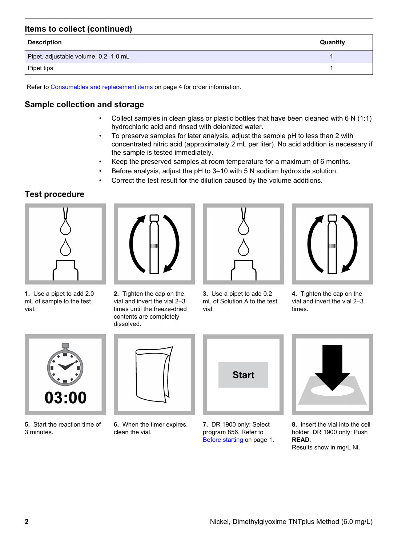# **Items to collect (continued)**

| <b>Description</b>                   | Quantity |
|--------------------------------------|----------|
| Pipet, adjustable volume, 0.2-1.0 mL |          |
| Pipet tips                           |          |

Refer to [Consumables and replacement items](#page-3-0) on page 4 for order information.

# **Sample collection and storage**

- Collect samples in clean glass or plastic bottles that have been cleaned with 6 N (1:1) hydrochloric acid and rinsed with deionized water.
- To preserve samples for later analysis, adjust the sample pH to less than 2 with concentrated nitric acid (approximately 2 mL per liter). No acid addition is necessary if the sample is tested immediately.
- Keep the preserved samples at room temperature for a maximum of 6 months.
- Before analysis, adjust the pH to 3–10 with 5 N sodium hydroxide solution.
- Correct the test result for the dilution caused by the volume additions.

# **Test procedure**



**1.** Use a pipet to add 2.0 mL of sample to the test vial.



**2.** Tighten the cap on the vial and invert the vial 2–3 times until the freeze-dried contents are completely dissolved.



**3.** Use a pipet to add 0.2 mL of Solution A to the test vial.



**4.** Tighten the cap on the vial and invert the vial 2–3 times.

<span id="page-1-0"></span>

**5.** Start the reaction time of 3 minutes.



**6.** When the timer expires, clean the vial.



**7.** DR 1900 only: Select program 856. Refer to [Before starting](#page-0-1) on page 1.



**8.** Insert the vial into the cell holder. DR 1900 only: Push **READ**. Results show in mg/L Ni.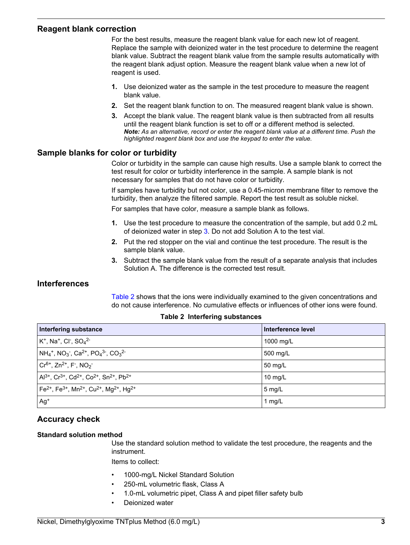#### **Reagent blank correction**

For the best results, measure the reagent blank value for each new lot of reagent. Replace the sample with deionized water in the test procedure to determine the reagent blank value. Subtract the reagent blank value from the sample results automatically with the reagent blank adjust option. Measure the reagent blank value when a new lot of reagent is used.

- **1.** Use deionized water as the sample in the test procedure to measure the reagent blank value.
- **2.** Set the reagent blank function to on. The measured reagent blank value is shown.
- **3.** Accept the blank value. The reagent blank value is then subtracted from all results until the reagent blank function is set to off or a different method is selected. *Note: As an alternative, record or enter the reagent blank value at a different time. Push the highlighted reagent blank box and use the keypad to enter the value.*

## **Sample blanks for color or turbidity**

Color or turbidity in the sample can cause high results. Use a sample blank to correct the test result for color or turbidity interference in the sample. A sample blank is not necessary for samples that do not have color or turbidity.

If samples have turbidity but not color, use a 0.45-micron membrane filter to remove the turbidity, then analyze the filtered sample. Report the test result as soluble nickel.

For samples that have color, measure a sample blank as follows.

- **1.** Use the test procedure to measure the concentration of the sample, but add 0.2 mL of deionized water in step [3.](#page-1-0) Do not add Solution A to the test vial.
- **2.** Put the red stopper on the vial and continue the test procedure. The result is the sample blank value.
- **3.** Subtract the sample blank value from the result of a separate analysis that includes Solution A. The difference is the corrected test result.

## **Interferences**

[Table 2](#page-2-0) shows that the ions were individually examined to the given concentrations and do not cause interference. No cumulative effects or influences of other ions were found.

<span id="page-2-0"></span>

| Interfering substance                                                                                                      | Interference level |
|----------------------------------------------------------------------------------------------------------------------------|--------------------|
| $K^+$ , Na <sup>+</sup> , Cl <sup>-</sup> , SO <sub>4</sub> <sup>2-</sup>                                                  | 1000 mg/L          |
| $NH_4^+$ , NO <sub>3</sub> <sup>-</sup> , Ca <sup>2+</sup> , PO <sub>4</sub> <sup>3-</sup> , CO <sub>3</sub> <sup>2-</sup> | 500 mg/L           |
| $\rm Cr^{6+}$ , Zn <sup>2+</sup> , F <sup>-</sup> , NO <sub>2</sub> <sup>-</sup>                                           | 50 mg/L            |
| $Al^{3+}$ , Cr <sup>3+</sup> , Cd <sup>2+</sup> , Co <sup>2+</sup> , Sn <sup>2+</sup> , Pb <sup>2+</sup>                   | $10 \text{ mg/L}$  |
| $\rm [Fe^{2+}, Fe^{3+}, Mn^{2+}, Cu^{2+}, Mg^{2+}, Hg^{2+} ]$                                                              | $5$ mg/L           |
| $Ag+$                                                                                                                      | 1 mg/L             |

#### **Table 2 Interfering substances**

## **Accuracy check**

#### **Standard solution method**

Use the standard solution method to validate the test procedure, the reagents and the instrument.

Items to collect:

- 1000-mg/L Nickel Standard Solution
- 250-mL volumetric flask, Class A
- 1.0-mL volumetric pipet, Class A and pipet filler safety bulb
- Deionized water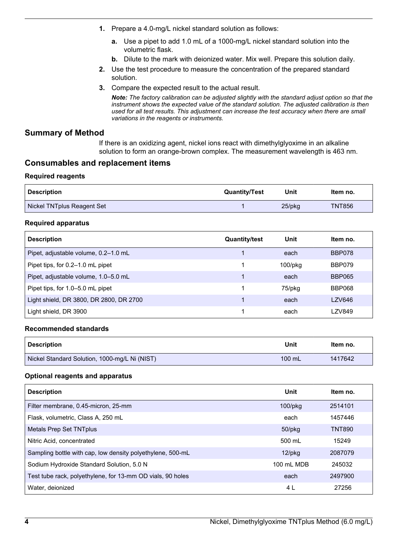- **1.** Prepare a 4.0-mg/L nickel standard solution as follows:
	- **a.** Use a pipet to add 1.0 mL of a 1000-mg/L nickel standard solution into the volumetric flask.
	- **b.** Dilute to the mark with deionized water. Mix well. Prepare this solution daily.
- **2.** Use the test procedure to measure the concentration of the prepared standard solution.
- **3.** Compare the expected result to the actual result.

*Note: The factory calibration can be adjusted slightly with the standard adjust option so that the instrument shows the expected value of the standard solution. The adjusted calibration is then used for all test results. This adjustment can increase the test accuracy when there are small variations in the reagents or instruments.*

## **Summary of Method**

If there is an oxidizing agent, nickel ions react with dimethylglyoxime in an alkaline solution to form an orange-brown complex. The measurement wavelength is 463 nm.

## **Consumables and replacement items**

#### **Required reagents**

<span id="page-3-0"></span>

| <b>Description</b>         | <b>Quantity/Test</b> | Unit      | ltem no.      |
|----------------------------|----------------------|-----------|---------------|
| Nickel TNTplus Reagent Set |                      | $25$ /pkg | <b>TNT856</b> |

#### **Required apparatus**

| <b>Description</b>                      | <b>Quantity/test</b> | Unit          | Item no.      |
|-----------------------------------------|----------------------|---------------|---------------|
| Pipet, adjustable volume, 0.2-1.0 mL    |                      | each          | BBP078        |
| Pipet tips, for 0.2-1.0 mL pipet        |                      | $100$ /p $kg$ | BBP079        |
| Pipet, adjustable volume, 1.0–5.0 mL    | 4                    | each          | <b>BBP065</b> |
| Pipet tips, for 1.0-5.0 mL pipet        |                      | 75/pkg        | BBP068        |
| Light shield, DR 3800, DR 2800, DR 2700 |                      | each          | LZV646        |
| Light shield, DR 3900                   |                      | each          | <b>LZV849</b> |

#### **Recommended standards**

| <b>Description</b>                            | Unit             | Item no. |
|-----------------------------------------------|------------------|----------|
| Nickel Standard Solution, 1000-mg/L Ni (NIST) | $100 \text{ mL}$ | 1417642  |

#### **Optional reagents and apparatus**

| <b>Description</b>                                         | Unit          | Item no.      |
|------------------------------------------------------------|---------------|---------------|
| Filter membrane, 0.45-micron, 25-mm                        | $100$ /p $kg$ | 2514101       |
| Flask, volumetric, Class A, 250 mL                         | each          | 1457446       |
| <b>Metals Prep Set TNTplus</b>                             | 50/pkg        | <b>TNT890</b> |
| Nitric Acid, concentrated                                  | 500 mL        | 15249         |
| Sampling bottle with cap, low density polyethylene, 500-mL | $12$ /pkg     | 2087079       |
| Sodium Hydroxide Standard Solution, 5.0 N                  | 100 mL MDB    | 245032        |
| Test tube rack, polyethylene, for 13-mm OD vials, 90 holes | each          | 2497900       |
| Water, deionized                                           | 4 L           | 27256         |